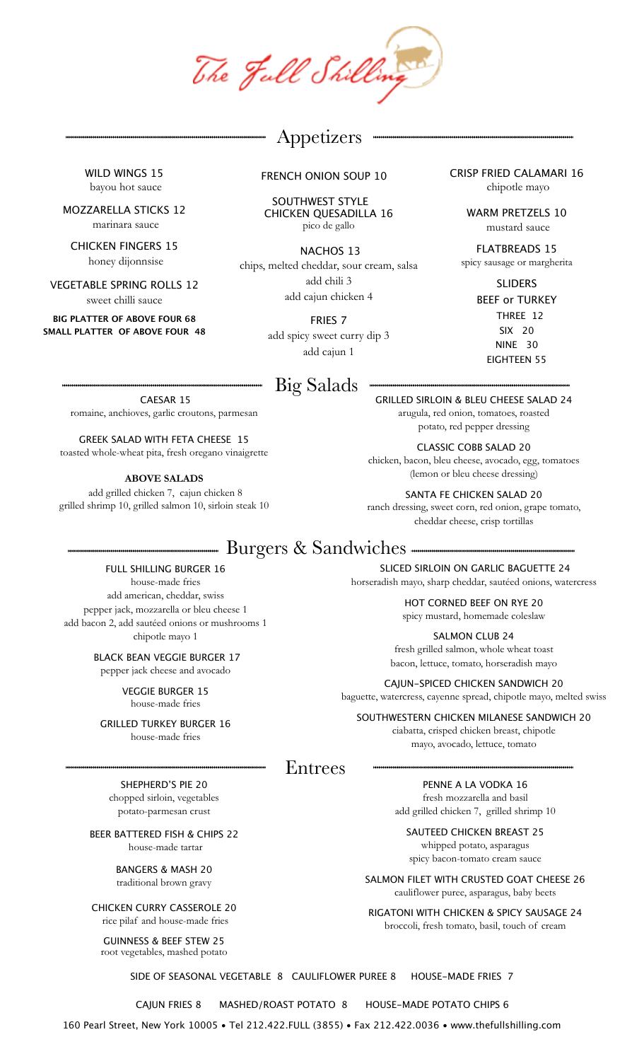The Jull Shilling

## Appetizers

WILD WINGS 15 bayou hot sauce

MOZZARELLA STICKS 12 marinara sauce

CHICKEN FINGERS 15 honey dijonnsise

VEGETABLE SPRING ROLLS 12 sweet chilli sauce

**BIG PLATTER OF ABOVE FOUR 68 SMALL PLATTER OF ABOVE FOUR 48** FRENCH ONION SOUP 10

 SOUTHWEST STYLE CHICKEN QUESADILLA 16 pico de gallo

 NACHOS 13 chips, melted cheddar, sour cream, salsa add chili 3 add cajun chicken 4

> FRIES 7 add spicy sweet curry dip 3 add cajun 1

# Big Salads

 CAESAR 15 romaine, anchioves, garlic croutons, parmesan

GREEK SALAD WITH FETA CHEESE 15 toasted whole-wheat pita, fresh oregano vinaigrette

**ABOVE SALADS**

 add grilled chicken 7, cajun chicken 8 grilled shrimp 10, grilled salmon 10, sirloin steak 10 CRISP FRIED CALAMARI 16 chipotle mayo

> WARM PRETZELS 10 mustard sauce

FLATBREADS 15 spicy sausage or margherita

> SLIDERS BEEF or TURKEY THREE 12 SIX 20 NINE 30 EIGHTEEN 55

GRILLED SIRLOIN & BLEU CHEESE SALAD 24 arugula, red onion, tomatoes, roasted

CLASSIC COBB SALAD 20 chicken, bacon, bleu cheese, avocado, egg, tomatoes (lemon or bleu cheese dressing)

SANTA FE CHICKEN SALAD 20 ranch dressing, sweet corn, red onion, grape tomato, cheddar cheese, crisp tortillas

SLICED SIRLOIN ON GARLIC BAGUETTE 24 horseradish mayo, sharp cheddar, sautéed onions, watercress HOT CORNED BEEF ON RYE 20 spicy mustard, homemade coleslaw

SALMON CLUB 24 fresh grilled salmon, whole wheat toast bacon, lettuce, tomato, horseradish mayo CAJUN-SPICED CHICKEN SANDWICH 20 baguette, watercress, cayenne spread, chipotle mayo, melted swiss SOUTHWESTERN CHICKEN MILANESE SANDWICH 20 ciabatta, crisped chicken breast, chipotle mayo, avocado, lettuce, tomato

## Burgers & Sandwiches

FULL SHILLING BURGER 16 house-made fries add american, cheddar, swiss pepper jack, mozzarella or bleu cheese 1 add bacon 2, add sautéed onions or mushrooms 1 chipotle mayo 1

> BLACK BEAN VEGGIE BURGER 17 pepper jack cheese and avocado

> > VEGGIE BURGER 15 house-made fries

GRILLED TURKEY BURGER 16 house-made fries

Entrees

SHEPHERD'S PIE 20 chopped sirloin, vegetables potato-parmesan crust

BEER BATTERED FISH & CHIPS 22 house-made tartar

> BANGERS & MASH 20 traditional brown gravy

CHICKEN CURRY CASSEROLE 20 rice pilaf and house-made fries

GUINNESS & BEEF STEW 25 root vegetables, mashed potato

PENNE A LA VODKA 16 fresh mozzarella and basil add grilled chicken 7, grilled shrimp 10

SAUTEED CHICKEN BREAST 25 whipped potato, asparagus spicy bacon-tomato cream sauce

SALMON FILET WITH CRUSTED GOAT CHEESE 26 cauliflower puree, asparagus, baby beets

RIGATONI WITH CHICKEN & SPICY SAUSAGE 24 broccoli, fresh tomato, basil, touch of cream

SIDE OF SEASONAL VEGETABLE 8 CAULIFLOWER PUREE 8 HOUSE-MADE FRIES 7

CAJUN FRIES 8 MASHED/ROAST POTATO 8 HOUSE-MADE POTATO CHIPS 6

160 Pearl Street, New York 10005 • Tel 212.422.FULL (3855) • Fax 212.422.0036 • www.thefullshilling.com

potato, red pepper dressing